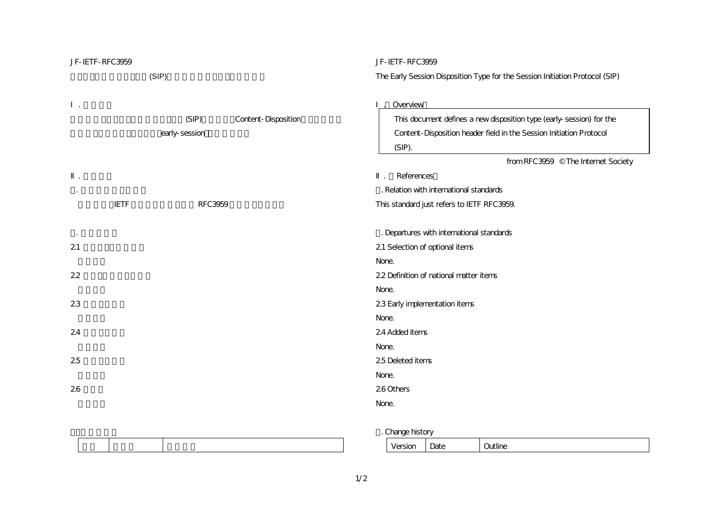| JF-IETF-RFC3959 |                                               | JF-IETF-RFC3959                                                                                                                                                                                          |
|-----------------|-----------------------------------------------|----------------------------------------------------------------------------------------------------------------------------------------------------------------------------------------------------------|
|                 | (SIP)                                         | The Early Session Disposition Type for the Session Initiation Protocol (SIP)                                                                                                                             |
|                 | (SIP)<br>Content-Disposition<br>early-session | Overview<br>This document defines a new disposition type (early-session) for the<br>Content-Disposition header field in the Session Initiation Protocol<br>(SIP).<br>from RFC3959 © The Internet Society |
|                 |                                               | References                                                                                                                                                                                               |
|                 |                                               | . Relation with international standards                                                                                                                                                                  |
| <b>IETF</b>     | <b>RFC3959</b>                                | This standard just refers to IETF RFC3959.                                                                                                                                                               |
|                 |                                               |                                                                                                                                                                                                          |
|                 |                                               | . Departures with international standards                                                                                                                                                                |
| 21              |                                               | 21 Selection of optional items                                                                                                                                                                           |
|                 |                                               | None.                                                                                                                                                                                                    |
| 22              |                                               | 22 Definition of national matter items                                                                                                                                                                   |
|                 |                                               | None.                                                                                                                                                                                                    |
| 23              |                                               | 23 Early implementation items                                                                                                                                                                            |
|                 |                                               | None.                                                                                                                                                                                                    |
| 24              |                                               | 24 Added items                                                                                                                                                                                           |
|                 |                                               | None.                                                                                                                                                                                                    |
| 25              |                                               | 25 Deleted items                                                                                                                                                                                         |
|                 |                                               | None.                                                                                                                                                                                                    |
| 26              |                                               | 26 Others                                                                                                                                                                                                |
|                 |                                               | None.                                                                                                                                                                                                    |
|                 |                                               |                                                                                                                                                                                                          |

3. Change history

| ---<br>ᆊᄓ | -<br>uw | . 1.0<br>∼<br>uuun |
|-----------|---------|--------------------|